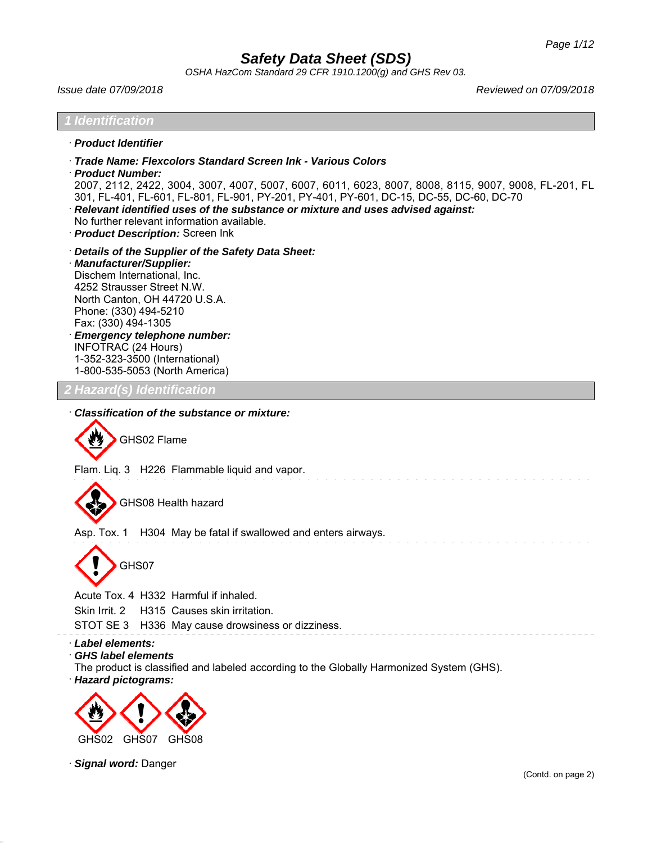*OSHA HazCom Standard 29 CFR 1910.1200(g) and GHS Rev 03.*

*Issue date 07/09/2018 Reviewed on 07/09/2018*

# *1 Identification* · *Product Identifier* · *Trade Name: Flexcolors Standard Screen Ink - Various Colors* · *Product Number:* 2007, 2112, 2422, 3004, 3007, 4007, 5007, 6007, 6011, 6023, 8007, 8008, 8115, 9007, 9008, FL-201, FL 301, FL-401, FL-601, FL-801, FL-901, PY-201, PY-401, PY-601, DC-15, DC-55, DC-60, DC-70 · *Relevant identified uses of the substance or mixture and uses advised against:* No further relevant information available. · *Product Description:* Screen Ink · *Details of the Supplier of the Safety Data Sheet:* · *Manufacturer/Supplier:* Dischem International, Inc. 4252 Strausser Street N.W. North Canton, OH 44720 U.S.A. Phone: (330) 494-5210 Fax: (330) 494-1305 · *Emergency telephone number:* INFOTRAC (24 Hours) 1-352-323-3500 (International) 1-800-535-5053 (North America) *2 Hazard(s) Identification* · *Classification of the substance or mixture:* GHS02 Flame Flam. Liq. 3 H226 Flammable liquid and vapor. GHS08 Health hazard Asp. Tox. 1 H304 May be fatal if swallowed and enters airways. GHS07 Acute Tox. 4 H332 Harmful if inhaled. Skin Irrit. 2 H315 Causes skin irritation. STOT SE 3 H336 May cause drowsiness or dizziness.

· *Label elements:*

· *GHS label elements*

The product is classified and labeled according to the Globally Harmonized System (GHS).

· *Hazard pictograms:*



· *Signal word:* Danger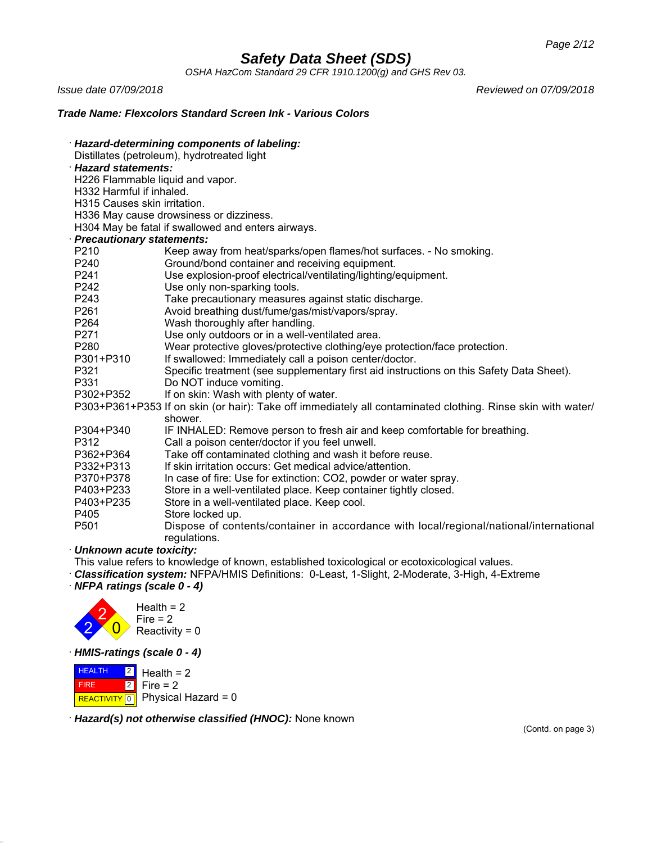*OSHA HazCom Standard 29 CFR 1910.1200(g) and GHS Rev 03.*

*Issue date 07/09/2018 Reviewed on 07/09/2018*

## *Trade Name: Flexcolors Standard Screen Ink - Various Colors*

| Hazard-determining components of labeling:                                                                                                                                                                                           |                                                                                                             |  |
|--------------------------------------------------------------------------------------------------------------------------------------------------------------------------------------------------------------------------------------|-------------------------------------------------------------------------------------------------------------|--|
| Distillates (petroleum), hydrotreated light                                                                                                                                                                                          |                                                                                                             |  |
| <b>Hazard statements:</b>                                                                                                                                                                                                            |                                                                                                             |  |
| H226 Flammable liquid and vapor.                                                                                                                                                                                                     |                                                                                                             |  |
| H332 Harmful if inhaled.                                                                                                                                                                                                             |                                                                                                             |  |
| H315 Causes skin irritation.                                                                                                                                                                                                         |                                                                                                             |  |
|                                                                                                                                                                                                                                      | H336 May cause drowsiness or dizziness.                                                                     |  |
|                                                                                                                                                                                                                                      | H304 May be fatal if swallowed and enters airways.                                                          |  |
| <b>Precautionary statements:</b>                                                                                                                                                                                                     |                                                                                                             |  |
| P210                                                                                                                                                                                                                                 | Keep away from heat/sparks/open flames/hot surfaces. - No smoking.                                          |  |
| P240                                                                                                                                                                                                                                 | Ground/bond container and receiving equipment.                                                              |  |
| P241                                                                                                                                                                                                                                 | Use explosion-proof electrical/ventilating/lighting/equipment.                                              |  |
| P242                                                                                                                                                                                                                                 | Use only non-sparking tools.                                                                                |  |
| P243                                                                                                                                                                                                                                 | Take precautionary measures against static discharge.                                                       |  |
| P261                                                                                                                                                                                                                                 | Avoid breathing dust/fume/gas/mist/vapors/spray.                                                            |  |
| P264                                                                                                                                                                                                                                 | Wash thoroughly after handling.                                                                             |  |
| P271                                                                                                                                                                                                                                 | Use only outdoors or in a well-ventilated area.                                                             |  |
| P280                                                                                                                                                                                                                                 | Wear protective gloves/protective clothing/eye protection/face protection.                                  |  |
| P301+P310                                                                                                                                                                                                                            | If swallowed: Immediately call a poison center/doctor.                                                      |  |
| P321                                                                                                                                                                                                                                 | Specific treatment (see supplementary first aid instructions on this Safety Data Sheet).                    |  |
| P331                                                                                                                                                                                                                                 | Do NOT induce vomiting.                                                                                     |  |
| P302+P352                                                                                                                                                                                                                            | If on skin: Wash with plenty of water.                                                                      |  |
|                                                                                                                                                                                                                                      | P303+P361+P353 If on skin (or hair): Take off immediately all contaminated clothing. Rinse skin with water/ |  |
|                                                                                                                                                                                                                                      | shower.                                                                                                     |  |
| P304+P340                                                                                                                                                                                                                            | IF INHALED: Remove person to fresh air and keep comfortable for breathing.                                  |  |
| P312                                                                                                                                                                                                                                 | Call a poison center/doctor if you feel unwell.                                                             |  |
| P362+P364                                                                                                                                                                                                                            | Take off contaminated clothing and wash it before reuse.                                                    |  |
| P332+P313                                                                                                                                                                                                                            | If skin irritation occurs: Get medical advice/attention.                                                    |  |
| P370+P378                                                                                                                                                                                                                            | In case of fire: Use for extinction: CO2, powder or water spray.                                            |  |
| P403+P233                                                                                                                                                                                                                            | Store in a well-ventilated place. Keep container tightly closed.                                            |  |
| P403+P235                                                                                                                                                                                                                            | Store in a well-ventilated place. Keep cool.                                                                |  |
| P405                                                                                                                                                                                                                                 | Store locked up.                                                                                            |  |
| P501                                                                                                                                                                                                                                 | Dispose of contents/container in accordance with local/regional/national/international<br>regulations.      |  |
| Unknown acute toxicity:                                                                                                                                                                                                              |                                                                                                             |  |
| <u>is a serie of the series of the series of the series of the series of the series of the series of the series of the series of the series of the series of the series of the series of the series of the series of the series </u> |                                                                                                             |  |

This value refers to knowledge of known, established toxicological or ecotoxicological values.

· *Classification system:* NFPA/HMIS Definitions: 0-Least, 1-Slight, 2-Moderate, 3-High, 4-Extreme

· *NFPA ratings (scale 0 - 4)*



· *HMIS-ratings (scale 0 - 4)*

**HEALTH**  FIRE REACTIVITY  $\boxed{0}$  Physical Hazard = 0  $|2|$ 2 Health  $= 2$ Fire  $= 2$ 

· *Hazard(s) not otherwise classified (HNOC):* None known

(Contd. on page 3)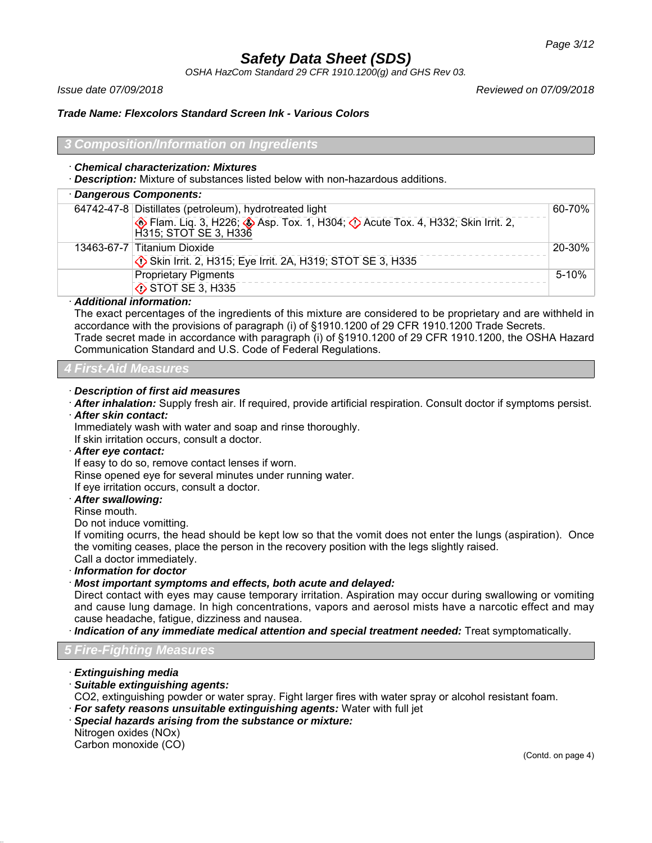*OSHA HazCom Standard 29 CFR 1910.1200(g) and GHS Rev 03.*

*Issue date 07/09/2018 Reviewed on 07/09/2018*

## *Trade Name: Flexcolors Standard Screen Ink - Various Colors*

#### *3 Composition/Information on Ingredients*

#### · *Chemical characterization: Mixtures*

· *Description:* Mixture of substances listed below with non-hazardous additions.

| · Dangerous Components: |                                                                                                      |            |
|-------------------------|------------------------------------------------------------------------------------------------------|------------|
|                         | 64742-47-8 Distillates (petroleum), hydrotreated light                                               | $60 - 70%$ |
|                         | Flam. Liq. 3, H226; Asp. Tox. 1, H304; O Acute Tox. 4, H332; Skin Irrit. 2,<br>H315; STOT SE 3, H336 |            |
|                         | 13463-67-7 Titanium Dioxide                                                                          | 20-30%     |
|                         | Skin Irrit. 2, H315; Eye Irrit. 2A, H319; STOT SE 3, H335                                            |            |
|                         | <b>Proprietary Pigments</b>                                                                          | 5-10%      |
|                         | STOT SE 3, H335                                                                                      |            |

#### · *Additional information:*

The exact percentages of the ingredients of this mixture are considered to be proprietary and are withheld in accordance with the provisions of paragraph (i) of §1910.1200 of 29 CFR 1910.1200 Trade Secrets. Trade secret made in accordance with paragraph (i) of §1910.1200 of 29 CFR 1910.1200, the OSHA Hazard Communication Standard and U.S. Code of Federal Regulations.

## *4 First-Aid Measures*

#### · *Description of first aid measures*

· *After inhalation:* Supply fresh air. If required, provide artificial respiration. Consult doctor if symptoms persist. · *After skin contact:*

Immediately wash with water and soap and rinse thoroughly.

If skin irritation occurs, consult a doctor.

### · *After eye contact:*

If easy to do so, remove contact lenses if worn.

Rinse opened eye for several minutes under running water.

If eye irritation occurs, consult a doctor.

#### · *After swallowing:*

Rinse mouth.

Do not induce vomitting.

If vomiting ocurrs, the head should be kept low so that the vomit does not enter the lungs (aspiration). Once the vomiting ceases, place the person in the recovery position with the legs slightly raised. Call a doctor immediately.

· *Information for doctor*

· *Most important symptoms and effects, both acute and delayed:*

Direct contact with eyes may cause temporary irritation. Aspiration may occur during swallowing or vomiting and cause lung damage. In high concentrations, vapors and aerosol mists have a narcotic effect and may cause headache, fatigue, dizziness and nausea.

· *Indication of any immediate medical attention and special treatment needed:* Treat symptomatically.

### *5 Fire-Fighting Measures*

- · *Extinguishing media*
- · *Suitable extinguishing agents:*
- CO2, extinguishing powder or water spray. Fight larger fires with water spray or alcohol resistant foam.
- · *For safety reasons unsuitable extinguishing agents:* Water with full jet
- · *Special hazards arising from the substance or mixture:*

Nitrogen oxides (NOx) Carbon monoxide (CO)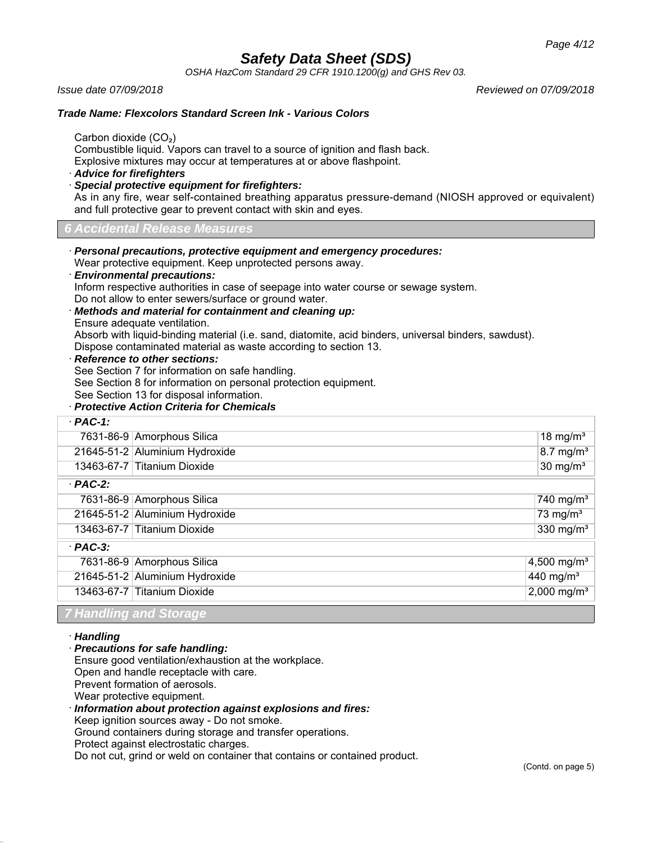*OSHA HazCom Standard 29 CFR 1910.1200(g) and GHS Rev 03.*

*Issue date 07/09/2018 Reviewed on 07/09/2018*

### *Trade Name: Flexcolors Standard Screen Ink - Various Colors*

Carbon dioxide (CO₂)

Combustible liquid. Vapors can travel to a source of ignition and flash back. Explosive mixtures may occur at temperatures at or above flashpoint.

· *Advice for firefighters*

· *Special protective equipment for firefighters:*

As in any fire, wear self-contained breathing apparatus pressure-demand (NIOSH approved or equivalent) and full protective gear to prevent contact with skin and eyes.

## *6 Accidental Release Measures*

· *Personal precautions, protective equipment and emergency procedures:*

Wear protective equipment. Keep unprotected persons away.

· *Environmental precautions:*

Inform respective authorities in case of seepage into water course or sewage system. Do not allow to enter sewers/surface or ground water.

- · *Methods and material for containment and cleaning up:*
- Ensure adequate ventilation.

Absorb with liquid-binding material (i.e. sand, diatomite, acid binders, universal binders, sawdust). Dispose contaminated material as waste according to section 13.

#### · *Reference to other sections:*

See Section 7 for information on safe handling.

See Section 8 for information on personal protection equipment.

See Section 13 for disposal information.

## · *Protective Action Criteria for Chemicals*

| 18 mg/ $m3$                                                                                                                                                                                                                                                                               |
|-------------------------------------------------------------------------------------------------------------------------------------------------------------------------------------------------------------------------------------------------------------------------------------------|
| $8.7 \text{ mg/m}^3$                                                                                                                                                                                                                                                                      |
| $30 \text{ mg/m}^3$                                                                                                                                                                                                                                                                       |
|                                                                                                                                                                                                                                                                                           |
| 740 mg/m <sup>3</sup>                                                                                                                                                                                                                                                                     |
| 73 mg/ $m3$                                                                                                                                                                                                                                                                               |
| 330 mg/ $m3$                                                                                                                                                                                                                                                                              |
|                                                                                                                                                                                                                                                                                           |
| 4,500 mg/m <sup>3</sup>                                                                                                                                                                                                                                                                   |
| $440$ mg/m <sup>3</sup>                                                                                                                                                                                                                                                                   |
| 2,000 mg/m <sup>3</sup>                                                                                                                                                                                                                                                                   |
| 7631-86-9 Amorphous Silica<br>21645-51-2 Aluminium Hydroxide<br>13463-67-7 Titanium Dioxide<br>7631-86-9 Amorphous Silica<br>21645-51-2 Aluminium Hydroxide<br>13463-67-7 Titanium Dioxide<br>7631-86-9 Amorphous Silica<br>21645-51-2 Aluminium Hydroxide<br>13463-67-7 Titanium Dioxide |

#### *7 Handling and Storage*

· *Handling*

· *Precautions for safe handling:*

Ensure good ventilation/exhaustion at the workplace.

Open and handle receptacle with care.

Prevent formation of aerosols.

Wear protective equipment.

· *Information about protection against explosions and fires:*

Keep ignition sources away - Do not smoke.

Ground containers during storage and transfer operations.

Protect against electrostatic charges.

Do not cut, grind or weld on container that contains or contained product.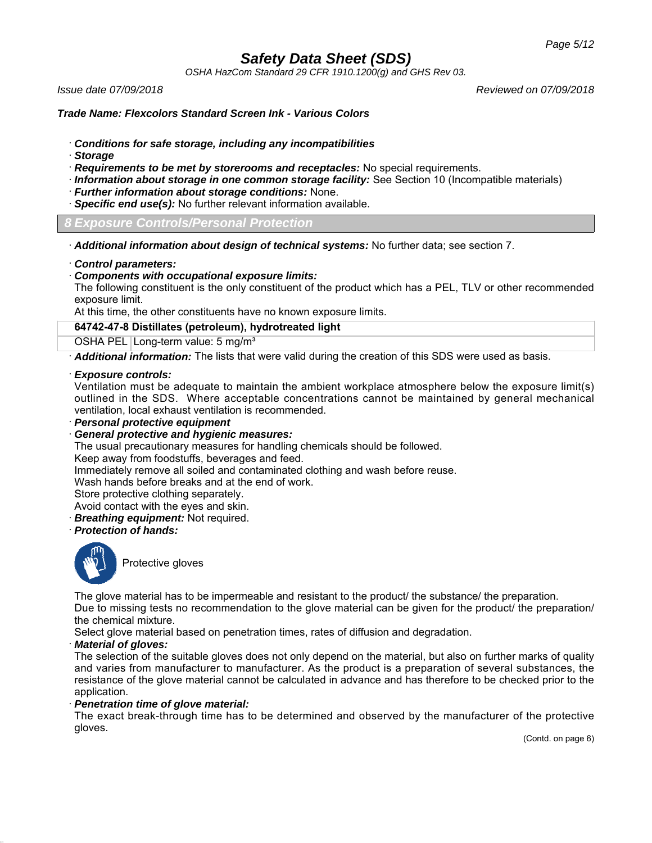*OSHA HazCom Standard 29 CFR 1910.1200(g) and GHS Rev 03.*

*Issue date 07/09/2018 Reviewed on 07/09/2018*

*Trade Name: Flexcolors Standard Screen Ink - Various Colors*

- · *Conditions for safe storage, including any incompatibilities*
- · *Storage*
- · *Requirements to be met by storerooms and receptacles:* No special requirements.
- · *Information about storage in one common storage facility:* See Section 10 (Incompatible materials)
- · *Further information about storage conditions:* None.
- · *Specific end use(s):* No further relevant information available.

*8 Exposure Controls/Personal Protection*

· *Additional information about design of technical systems:* No further data; see section 7.

· *Control parameters:*

· *Components with occupational exposure limits:*

The following constituent is the only constituent of the product which has a PEL, TLV or other recommended exposure limit.

At this time, the other constituents have no known exposure limits.

### **64742-47-8 Distillates (petroleum), hydrotreated light**

OSHA PEL Long-term value: 5 mg/m<sup>3</sup>

· *Additional information:* The lists that were valid during the creation of this SDS were used as basis.

#### · *Exposure controls:*

Ventilation must be adequate to maintain the ambient workplace atmosphere below the exposure limit(s) outlined in the SDS. Where acceptable concentrations cannot be maintained by general mechanical ventilation, local exhaust ventilation is recommended.

· *Personal protective equipment*

### · *General protective and hygienic measures:*

The usual precautionary measures for handling chemicals should be followed.

Keep away from foodstuffs, beverages and feed.

Immediately remove all soiled and contaminated clothing and wash before reuse.

Wash hands before breaks and at the end of work.

Store protective clothing separately.

Avoid contact with the eyes and skin.

- · *Breathing equipment:* Not required.
- · *Protection of hands:*



Protective gloves

The glove material has to be impermeable and resistant to the product/ the substance/ the preparation. Due to missing tests no recommendation to the glove material can be given for the product/ the preparation/ the chemical mixture.

Select glove material based on penetration times, rates of diffusion and degradation.

### · *Material of gloves:*

The selection of the suitable gloves does not only depend on the material, but also on further marks of quality and varies from manufacturer to manufacturer. As the product is a preparation of several substances, the resistance of the glove material cannot be calculated in advance and has therefore to be checked prior to the application.

### · *Penetration time of glove material:*

The exact break-through time has to be determined and observed by the manufacturer of the protective gloves.

(Contd. on page 6)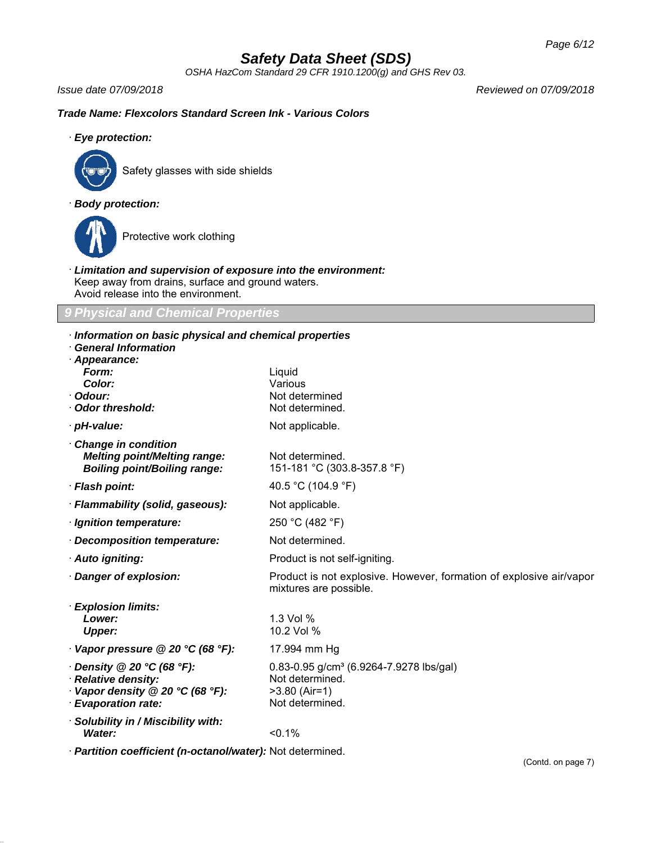*OSHA HazCom Standard 29 CFR 1910.1200(g) and GHS Rev 03.*

*Issue date 07/09/2018 Reviewed on 07/09/2018*

## *Trade Name: Flexcolors Standard Screen Ink - Various Colors*

· *Eye protection:*



Safety glasses with side shields

## · *Body protection:*



Protective work clothing

· *Limitation and supervision of exposure into the environment:* Keep away from drains, surface and ground waters. Avoid release into the environment.

## *9 Physical and Chemical Properties*

| Information on basic physical and chemical properties<br><b>General Information</b>                              |                                                                                                              |
|------------------------------------------------------------------------------------------------------------------|--------------------------------------------------------------------------------------------------------------|
| Appearance:<br>Form:<br>Color:<br>· Odour:<br>Odor threshold:                                                    | Liquid<br>Various<br>Not determined<br>Not determined.                                                       |
| · pH-value:                                                                                                      | Not applicable.                                                                                              |
| Change in condition<br><b>Melting point/Melting range:</b><br><b>Boiling point/Boiling range:</b>                | Not determined.<br>151-181 °C (303.8-357.8 °F)                                                               |
| · Flash point:                                                                                                   | 40.5 °C (104.9 °F)                                                                                           |
| · Flammability (solid, gaseous):                                                                                 | Not applicable.                                                                                              |
| · Ignition temperature:                                                                                          | 250 °C (482 °F)                                                                                              |
| Decomposition temperature:                                                                                       | Not determined.                                                                                              |
| · Auto igniting:                                                                                                 | Product is not self-igniting.                                                                                |
| Danger of explosion:                                                                                             | Product is not explosive. However, formation of explosive air/vapor<br>mixtures are possible.                |
| <b>Explosion limits:</b><br>Lower:<br><b>Upper:</b>                                                              | 1.3 Vol %<br>10.2 Vol %                                                                                      |
| $\cdot$ Vapor pressure @ 20 °C (68 °F):                                                                          | 17.994 mm Hg                                                                                                 |
| $\cdot$ Density @ 20 °C (68 °F):<br>· Relative density:<br>Vapor density @ 20 °C (68 °F):<br>· Evaporation rate: | 0.83-0.95 g/cm <sup>3</sup> (6.9264-7.9278 lbs/gal)<br>Not determined.<br>$>3.80$ (Air=1)<br>Not determined. |
| · Solubility in / Miscibility with:<br>Water:                                                                    | < 0.1%                                                                                                       |
| · Partition coefficient (n-octanol/water): Not determined.                                                       |                                                                                                              |

(Contd. on page 7)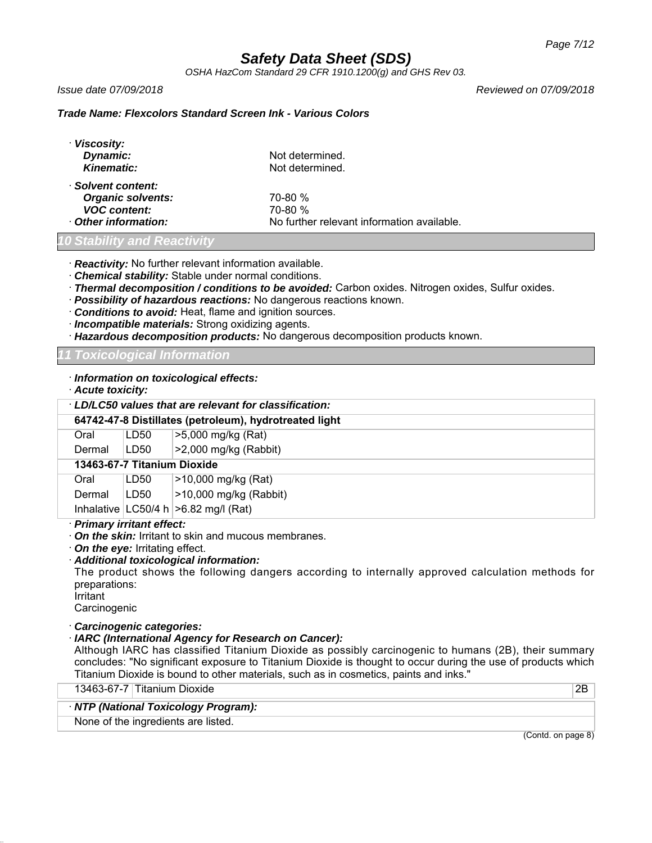*OSHA HazCom Standard 29 CFR 1910.1200(g) and GHS Rev 03.*

*Issue date 07/09/2018 Reviewed on 07/09/2018*

### *Trade Name: Flexcolors Standard Screen Ink - Various Colors*

| · Viscosity:             |                                            |
|--------------------------|--------------------------------------------|
| Dynamic:                 | Not determined.                            |
| <b>Kinematic:</b>        | Not determined.                            |
| · Solvent content:       |                                            |
| <b>Organic solvents:</b> | 70-80 %                                    |
| <b>VOC content:</b>      | 70-80 %                                    |
| Other information:       | No further relevant information available. |
|                          |                                            |

## *10 Stability and Reactivity*

· *Reactivity:* No further relevant information available.

- · *Chemical stability:* Stable under normal conditions.
- · *Thermal decomposition / conditions to be avoided:* Carbon oxides. Nitrogen oxides, Sulfur oxides.
- · *Possibility of hazardous reactions:* No dangerous reactions known.
- · *Conditions to avoid:* Heat, flame and ignition sources.
- · *Incompatible materials:* Strong oxidizing agents.
- · *Hazardous decomposition products:* No dangerous decomposition products known.

*11 Toxicological Information*

#### · *Information on toxicological effects:*

#### · *Acute toxicity:*

| · LD/LC50 values that are relevant for classification: |                                                        |                                           |  |
|--------------------------------------------------------|--------------------------------------------------------|-------------------------------------------|--|
|                                                        | 64742-47-8 Distillates (petroleum), hydrotreated light |                                           |  |
| Oral                                                   | LD50                                                   | >5,000 mg/kg (Rat)                        |  |
| Dermal                                                 | LD50                                                   | $>2,000$ mg/kg (Rabbit)                   |  |
|                                                        | 13463-67-7 Titanium Dioxide                            |                                           |  |
| Oral                                                   | LD50                                                   | >10,000 mg/kg (Rat)                       |  |
| Dermal                                                 | LD50                                                   | $>10,000$ mg/kg (Rabbit)                  |  |
|                                                        |                                                        | Inhalative $ LG50/4 h  > 6.82 mg/l (Rat)$ |  |

· *Primary irritant effect:*

· *On the skin:* Irritant to skin and mucous membranes.

· *On the eye:* Irritating effect.

· *Additional toxicological information:*

The product shows the following dangers according to internally approved calculation methods for preparations:

**Irritant** 

**Carcinogenic** 

### · *Carcinogenic categories:*

## · *IARC (International Agency for Research on Cancer):*

Although IARC has classified Titanium Dioxide as possibly carcinogenic to humans (2B), their summary concludes: "No significant exposure to Titanium Dioxide is thought to occur during the use of products which Titanium Dioxide is bound to other materials, such as in cosmetics, paints and inks."

| 13463-67-7 Titanium Dioxide         | 2B |
|-------------------------------------|----|
| NTP (National Toxicology Program):  |    |
| None of the ingredients are listed. |    |

(Contd. on page 8)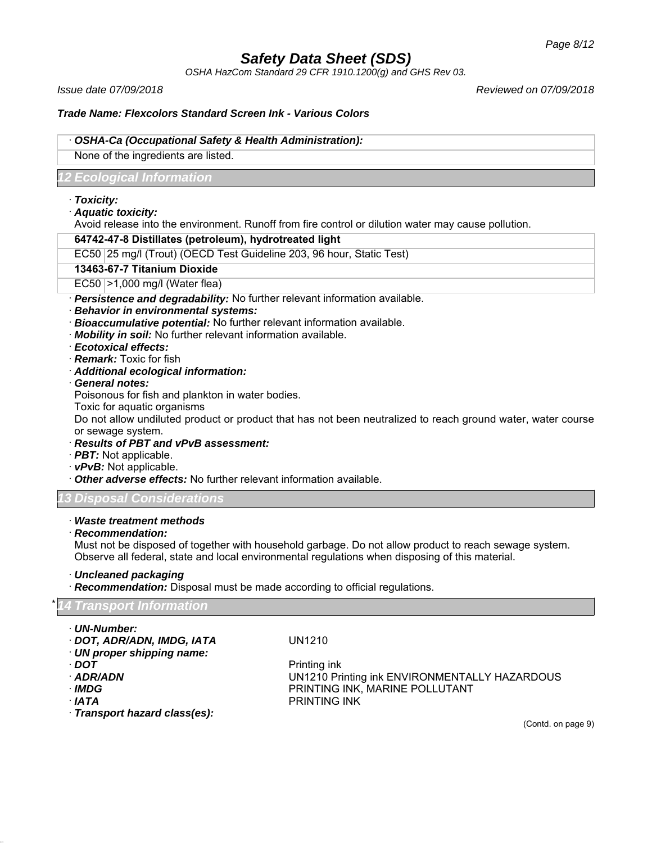*OSHA HazCom Standard 29 CFR 1910.1200(g) and GHS Rev 03.*

*Issue date 07/09/2018 Reviewed on 07/09/2018*

## *Trade Name: Flexcolors Standard Screen Ink - Various Colors*

#### · *OSHA-Ca (Occupational Safety & Health Administration):*

None of the ingredients are listed.

## *12 Ecological Information*

#### · *Toxicity:*

· *Aquatic toxicity:*

Avoid release into the environment. Runoff from fire control or dilution water may cause pollution.

#### **64742-47-8 Distillates (petroleum), hydrotreated light**

EC50 25 mg/l (Trout) (OECD Test Guideline 203, 96 hour, Static Test)

#### **13463-67-7 Titanium Dioxide**

EC50 >1,000 mg/l (Water flea)

· *Persistence and degradability:* No further relevant information available.

#### · *Behavior in environmental systems:*

- · *Bioaccumulative potential:* No further relevant information available.
- · *Mobility in soil:* No further relevant information available.
- · *Ecotoxical effects:*
- · *Remark:* Toxic for fish
- · *Additional ecological information:*
- · *General notes:*

Poisonous for fish and plankton in water bodies.

Toxic for aquatic organisms

Do not allow undiluted product or product that has not been neutralized to reach ground water, water course or sewage system.

- · *Results of PBT and vPvB assessment:*
- · *PBT:* Not applicable.
- · *vPvB:* Not applicable.
- · *Other adverse effects:* No further relevant information available.

### *13 Disposal Considerations*

## · *Waste treatment methods*

· *Recommendation:*

Must not be disposed of together with household garbage. Do not allow product to reach sewage system. Observe all federal, state and local environmental regulations when disposing of this material.

· *Uncleaned packaging*

· *Recommendation:* Disposal must be made according to official regulations.

|  | *14 Transport Information |
|--|---------------------------|
|  |                           |

- · *UN-Number:*
- · *DOT, ADR/ADN, IMDG, IATA* UN1210
- · *UN proper shipping name:*
- 
- 
- 
- 
- · *Transport hazard class(es):*

*DOT* Printing ink · *ADR/ADN* UN1210 Printing ink ENVIRONMENTALLY HAZARDOUS · *IMDG* PRINTING INK, MARINE POLLUTANT · *IATA* PRINTING INK

(Contd. on page 9)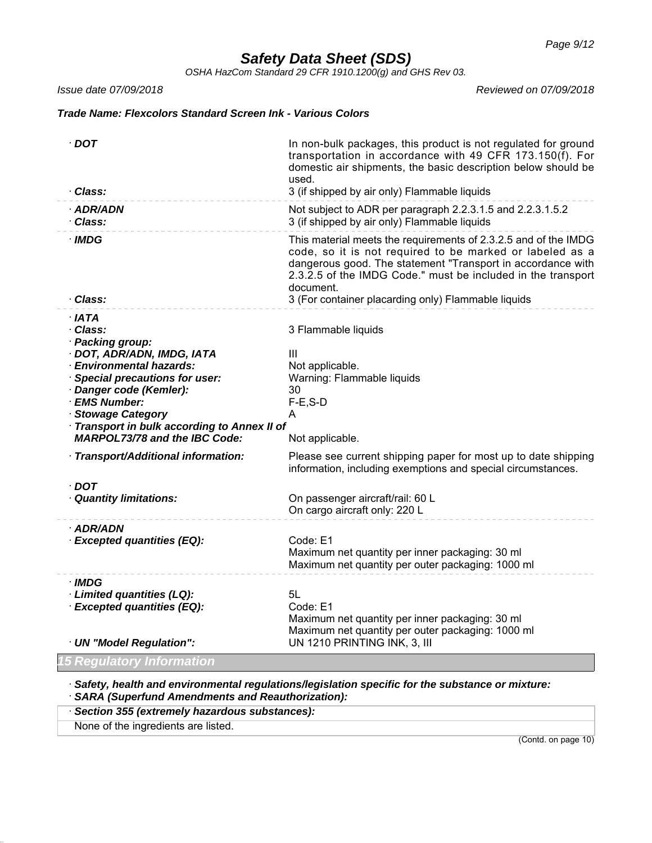*OSHA HazCom Standard 29 CFR 1910.1200(g) and GHS Rev 03.*

*Issue date 07/09/2018 Reviewed on 07/09/2018*

## *Trade Name: Flexcolors Standard Screen Ink - Various Colors*

| $\cdot$ DOT                                                                        | In non-bulk packages, this product is not regulated for ground<br>transportation in accordance with 49 CFR 173.150(f). For<br>domestic air shipments, the basic description below should be<br>used.                                                                    |
|------------------------------------------------------------------------------------|-------------------------------------------------------------------------------------------------------------------------------------------------------------------------------------------------------------------------------------------------------------------------|
| · Class:                                                                           | 3 (if shipped by air only) Flammable liquids                                                                                                                                                                                                                            |
| · ADR/ADN<br>· Class:                                                              | Not subject to ADR per paragraph 2.2.3.1.5 and 2.2.3.1.5.2<br>3 (if shipped by air only) Flammable liquids                                                                                                                                                              |
| $\cdot$ IMDG                                                                       | This material meets the requirements of 2.3.2.5 and of the IMDG<br>code, so it is not required to be marked or labeled as a<br>dangerous good. The statement "Transport in accordance with<br>2.3.2.5 of the IMDG Code." must be included in the transport<br>document. |
| · Class:                                                                           | 3 (For container placarding only) Flammable liquids                                                                                                                                                                                                                     |
| $·$ IATA                                                                           |                                                                                                                                                                                                                                                                         |
| · Class:                                                                           | 3 Flammable liquids                                                                                                                                                                                                                                                     |
| · Packing group:                                                                   |                                                                                                                                                                                                                                                                         |
| · DOT, ADR/ADN, IMDG, IATA                                                         | III                                                                                                                                                                                                                                                                     |
| · Environmental hazards:                                                           | Not applicable.                                                                                                                                                                                                                                                         |
| <b>Special precautions for user:</b>                                               | Warning: Flammable liquids                                                                                                                                                                                                                                              |
| Danger code (Kemler):                                                              | 30                                                                                                                                                                                                                                                                      |
| · EMS Number:                                                                      | $F-E$ , S-D                                                                                                                                                                                                                                                             |
| <b>Stowage Category</b>                                                            | A                                                                                                                                                                                                                                                                       |
| Transport in bulk according to Annex II of<br><b>MARPOL73/78 and the IBC Code:</b> | Not applicable.                                                                                                                                                                                                                                                         |
|                                                                                    |                                                                                                                                                                                                                                                                         |
| · Transport/Additional information:                                                | Please see current shipping paper for most up to date shipping<br>information, including exemptions and special circumstances.                                                                                                                                          |
| $\cdot$ DOT                                                                        |                                                                                                                                                                                                                                                                         |
| · Quantity limitations:                                                            | On passenger aircraft/rail: 60 L                                                                                                                                                                                                                                        |
|                                                                                    | On cargo aircraft only: 220 L                                                                                                                                                                                                                                           |
| · ADR/ADN                                                                          |                                                                                                                                                                                                                                                                         |
| · Excepted quantities (EQ):                                                        | Code: E1                                                                                                                                                                                                                                                                |
|                                                                                    | Maximum net quantity per inner packaging: 30 ml                                                                                                                                                                                                                         |
|                                                                                    | Maximum net quantity per outer packaging: 1000 ml                                                                                                                                                                                                                       |
| · IMDG                                                                             |                                                                                                                                                                                                                                                                         |
| · Limited quantities (LQ):                                                         | 5L                                                                                                                                                                                                                                                                      |
| · Excepted quantities (EQ):                                                        | Code: E1                                                                                                                                                                                                                                                                |
|                                                                                    | Maximum net quantity per inner packaging: 30 ml                                                                                                                                                                                                                         |
|                                                                                    | Maximum net quantity per outer packaging: 1000 ml<br>UN 1210 PRINTING INK, 3, III                                                                                                                                                                                       |
| · UN "Model Regulation":                                                           |                                                                                                                                                                                                                                                                         |
| <b>5 Regulatory Information</b>                                                    |                                                                                                                                                                                                                                                                         |

· *Safety, health and environmental regulations/legislation specific for the substance or mixture:* · *SARA (Superfund Amendments and Reauthorization):*

· *Section 355 (extremely hazardous substances):*

None of the ingredients are listed.

(Contd. on page 10)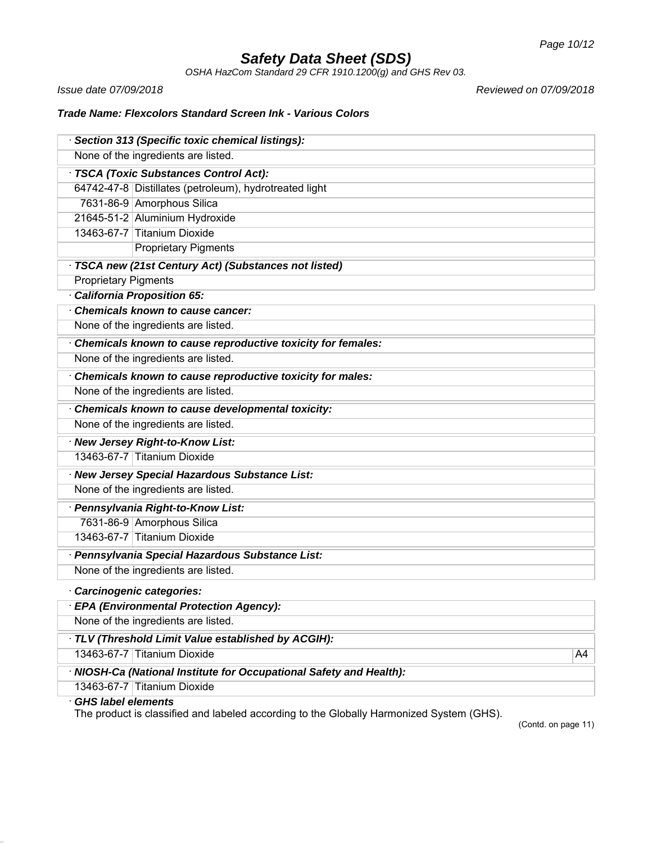*OSHA HazCom Standard 29 CFR 1910.1200(g) and GHS Rev 03.*

*Issue date 07/09/2018 Reviewed on 07/09/2018*

## *Trade Name: Flexcolors Standard Screen Ink - Various Colors*

|                                                  | · Section 313 (Specific toxic chemical listings):                   |    |
|--------------------------------------------------|---------------------------------------------------------------------|----|
| None of the ingredients are listed.              |                                                                     |    |
|                                                  | · TSCA (Toxic Substances Control Act):                              |    |
|                                                  | 64742-47-8 Distillates (petroleum), hydrotreated light              |    |
|                                                  | 7631-86-9 Amorphous Silica                                          |    |
|                                                  | 21645-51-2 Aluminium Hydroxide                                      |    |
|                                                  | 13463-67-7 Titanium Dioxide                                         |    |
|                                                  | <b>Proprietary Pigments</b>                                         |    |
|                                                  | · TSCA new (21st Century Act) (Substances not listed)               |    |
| <b>Proprietary Pigments</b>                      |                                                                     |    |
|                                                  | · California Proposition 65:                                        |    |
|                                                  | Chemicals known to cause cancer:                                    |    |
|                                                  | None of the ingredients are listed.                                 |    |
|                                                  | Chemicals known to cause reproductive toxicity for females:         |    |
|                                                  | None of the ingredients are listed.                                 |    |
|                                                  | Chemicals known to cause reproductive toxicity for males:           |    |
|                                                  | None of the ingredients are listed.                                 |    |
| Chemicals known to cause developmental toxicity: |                                                                     |    |
|                                                  | None of the ingredients are listed.                                 |    |
|                                                  | · New Jersey Right-to-Know List:                                    |    |
|                                                  | 13463-67-7 Titanium Dioxide                                         |    |
|                                                  | · New Jersey Special Hazardous Substance List:                      |    |
|                                                  | None of the ingredients are listed.                                 |    |
|                                                  | · Pennsylvania Right-to-Know List:                                  |    |
|                                                  | 7631-86-9 Amorphous Silica                                          |    |
|                                                  | 13463-67-7 Titanium Dioxide                                         |    |
|                                                  | · Pennsylvania Special Hazardous Substance List:                    |    |
|                                                  | None of the ingredients are listed.                                 |    |
|                                                  | Carcinogenic categories:                                            |    |
|                                                  | <b>EPA (Environmental Protection Agency):</b>                       |    |
|                                                  | None of the ingredients are listed.                                 |    |
|                                                  | · TLV (Threshold Limit Value established by ACGIH):                 |    |
|                                                  | 13463-67-7 Titanium Dioxide                                         | A4 |
|                                                  | · NIOSH-Ca (National Institute for Occupational Safety and Health): |    |
|                                                  | 13463-67-7 Titanium Dioxide                                         |    |

## · *GHS label elements*

The product is classified and labeled according to the Globally Harmonized System (GHS).

(Contd. on page 11)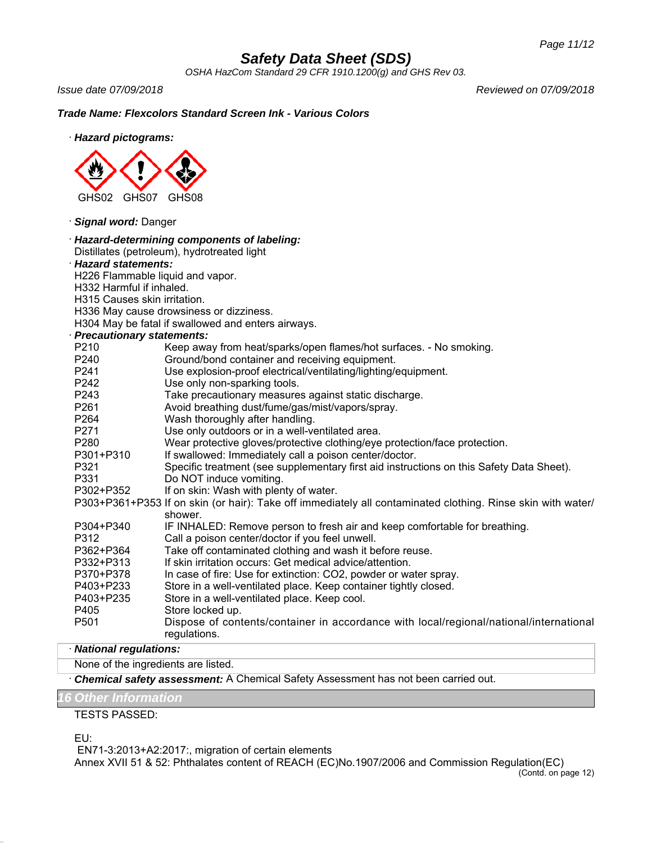*OSHA HazCom Standard 29 CFR 1910.1200(g) and GHS Rev 03.*

*Issue date 07/09/2018 Reviewed on 07/09/2018*

*Trade Name: Flexcolors Standard Screen Ink - Various Colors*

· *Hazard pictograms:*



· *Signal word:* Danger

|                                  | · Hazard-determining components of labeling:                                                                           |  |  |
|----------------------------------|------------------------------------------------------------------------------------------------------------------------|--|--|
|                                  | Distillates (petroleum), hydrotreated light                                                                            |  |  |
| · Hazard statements:             |                                                                                                                        |  |  |
| H226 Flammable liquid and vapor. |                                                                                                                        |  |  |
|                                  | H332 Harmful if inhaled.                                                                                               |  |  |
| H315 Causes skin irritation.     |                                                                                                                        |  |  |
|                                  | H336 May cause drowsiness or dizziness.                                                                                |  |  |
|                                  | H304 May be fatal if swallowed and enters airways.                                                                     |  |  |
| · Precautionary statements:      |                                                                                                                        |  |  |
| P210                             | Keep away from heat/sparks/open flames/hot surfaces. - No smoking.                                                     |  |  |
| P240                             | Ground/bond container and receiving equipment.                                                                         |  |  |
| P241                             | Use explosion-proof electrical/ventilating/lighting/equipment.                                                         |  |  |
| P242                             | Use only non-sparking tools.                                                                                           |  |  |
| P243                             | Take precautionary measures against static discharge.                                                                  |  |  |
| P261                             | Avoid breathing dust/fume/gas/mist/vapors/spray.                                                                       |  |  |
| P264                             | Wash thoroughly after handling.                                                                                        |  |  |
| P271                             | Use only outdoors or in a well-ventilated area.                                                                        |  |  |
| P280                             | Wear protective gloves/protective clothing/eye protection/face protection.                                             |  |  |
| P301+P310                        | If swallowed: Immediately call a poison center/doctor.                                                                 |  |  |
| P321                             | Specific treatment (see supplementary first aid instructions on this Safety Data Sheet).                               |  |  |
| P331                             | Do NOT induce vomiting.                                                                                                |  |  |
| P302+P352                        | If on skin: Wash with plenty of water.                                                                                 |  |  |
|                                  | P303+P361+P353 If on skin (or hair): Take off immediately all contaminated clothing. Rinse skin with water/<br>shower. |  |  |
| P304+P340                        | IF INHALED: Remove person to fresh air and keep comfortable for breathing.                                             |  |  |
| P312                             | Call a poison center/doctor if you feel unwell.                                                                        |  |  |
| P362+P364                        | Take off contaminated clothing and wash it before reuse.                                                               |  |  |
| P332+P313                        | If skin irritation occurs: Get medical advice/attention.                                                               |  |  |
| P370+P378                        | In case of fire: Use for extinction: CO2, powder or water spray.                                                       |  |  |
| P403+P233                        | Store in a well-ventilated place. Keep container tightly closed.                                                       |  |  |
| P403+P235                        | Store in a well-ventilated place. Keep cool.                                                                           |  |  |
| P405                             | Store locked up.                                                                                                       |  |  |
| P <sub>501</sub>                 | Dispose of contents/container in accordance with local/regional/national/international<br>regulations.                 |  |  |

## · *National regulations:*

None of the ingredients are listed.

· *Chemical safety assessment:* A Chemical Safety Assessment has not been carried out.

## *16 Other Information*

TESTS PASSED:

EU:

 EN71-3:2013+A2:2017:, migration of certain elements Annex XVII 51 & 52: Phthalates content of REACH (EC)No.1907/2006 and Commission Regulation(EC)